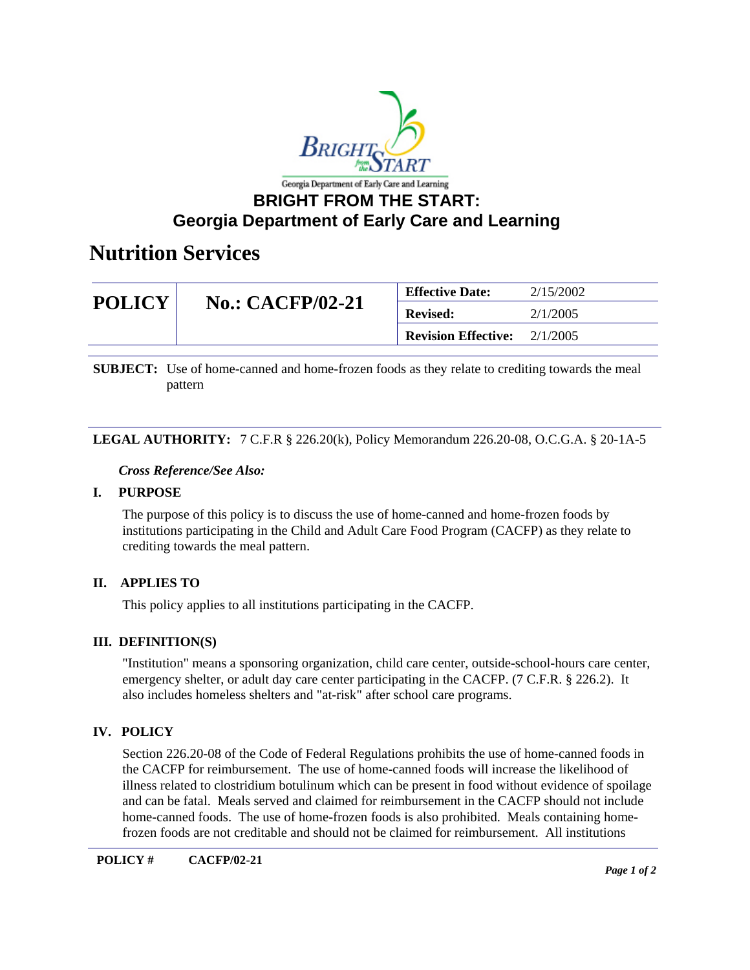

# **BRIGHT FROM THE START: Georgia Department of Early Care and Learning**

# **Nutrition Services**

| <b>POLICY</b> | <b>No.: CACFP/02-21</b> | <b>Effective Date:</b>     | 2/15/2002 |
|---------------|-------------------------|----------------------------|-----------|
|               |                         | <b>Revised:</b>            | 2/1/2005  |
|               |                         | <b>Revision Effective:</b> | 2/1/2005  |

**SUBJECT:** Use of home-canned and home-frozen foods as they relate to crediting towards the meal pattern

### **LEGAL AUTHORITY:** 7 C.F.R § 226.20(k), Policy Memorandum 226.20-08, O.C.G.A. § 20-1A-5

### *Cross Reference/See Also:*

### **I. PURPOSE**

The purpose of this policy is to discuss the use of home-canned and home-frozen foods by institutions participating in the Child and Adult Care Food Program (CACFP) as they relate to crediting towards the meal pattern.

# **II. APPLIES TO**

This policy applies to all institutions participating in the CACFP.

# **III. DEFINITION(S)**

"Institution" means a sponsoring organization, child care center, outside-school-hours care center, emergency shelter, or adult day care center participating in the CACFP. (7 C.F.R. § 226.2). It also includes homeless shelters and "at-risk" after school care programs.

# **IV. POLICY**

Section 226.20-08 of the Code of Federal Regulations prohibits the use of home-canned foods in the CACFP for reimbursement. The use of home-canned foods will increase the likelihood of illness related to clostridium botulinum which can be present in food without evidence of spoilage and can be fatal. Meals served and claimed for reimbursement in the CACFP should not include home-canned foods. The use of home-frozen foods is also prohibited. Meals containing homefrozen foods are not creditable and should not be claimed for reimbursement. All institutions